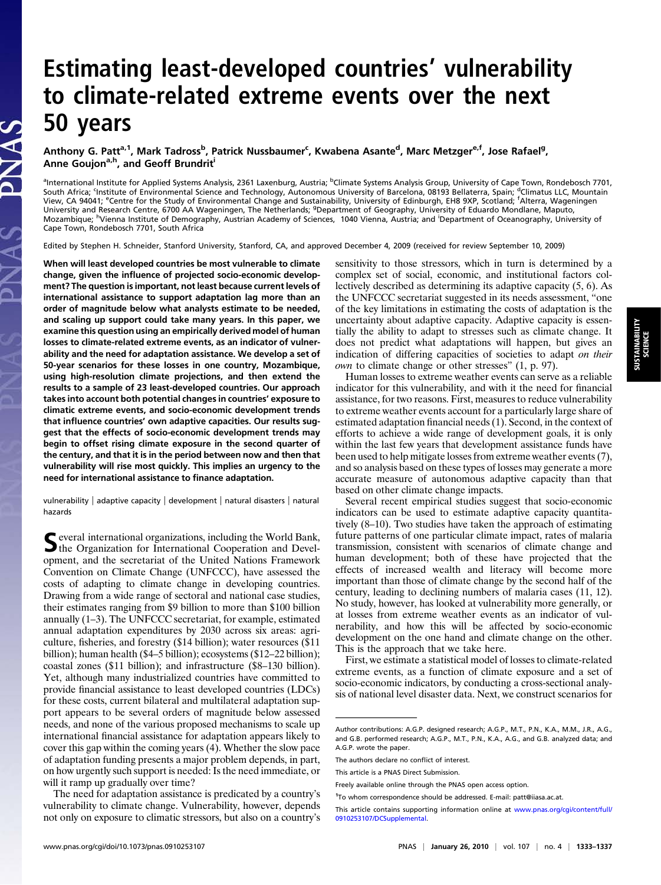# Estimating least-developed countries' vulnerability to climate-related extreme events over the next 50 years

## Anthony G. Patt<sup>a, 1</sup>, Mark Tadross<sup>b</sup>, Patrick Nussbaumer<sup>c</sup>, Kwabena Asante<sup>d</sup>, Marc Metzger<sup>e, f</sup>, Jose Rafael<sup>g</sup>, Anne Goujon<sup>a,h</sup>, and Geoff Brundrit<sup>i</sup>

<sup>a</sup>International Institute for Applied Systems Analysis, 2361 Laxenburg, Austria; <sup>b</sup>Climate Systems Analysis Group, University of Cape Town, Rondebosch 7701, South Africa; <sup>c</sup>Institute of Environmental Science and Technology, Autonomous University of Barcelona, 08193 Bellaterra, Spain; <sup>d</sup>Climatus LLC, Mountain View, CA 94041; <sup>e</sup>Centre for the Study of Environmental Change and Sustainability, University of Edinburgh, EH8 9XP, Scotland; <sup>f</sup>Alterra, Wageningen University and Research Centre, 6700 AA Wageningen, The Netherlands; <sup>g</sup>Department of Geography, University of Eduardo Mondlane, Maputo, Mozambique; <sup>h</sup>Vienna Institute of Demography, Austrian Academy of Sciences, 1040 Vienna, Austria; and <sup>i</sup>Department of Oceanography, University of Cape Town, Rondebosch 7701, South Africa

Edited by Stephen H. Schneider, Stanford University, Stanford, CA, and approved December 4, 2009 (received for review September 10, 2009)

When will least developed countries be most vulnerable to climate change, given the influence of projected socio-economic development? The question is important, not least because current levels of international assistance to support adaptation lag more than an order of magnitude below what analysts estimate to be needed, and scaling up support could take many years. In this paper, we examine this question using an empirically derived model of human losses to climate-related extreme events, as an indicator of vulnerability and the need for adaptation assistance. We develop a set of 50-year scenarios for these losses in one country, Mozambique, using high-resolution climate projections, and then extend the results to a sample of 23 least-developed countries. Our approach takes into account both potential changes in countries' exposure to climatic extreme events, and socio-economic development trends that influence countries' own adaptive capacities. Our results suggest that the effects of socio-economic development trends may begin to offset rising climate exposure in the second quarter of the century, and that it is in the period between now and then that vulnerability will rise most quickly. This implies an urgency to the need for international assistance to finance adaptation.

vulnerability | adaptive capacity | development | natural disasters | natural hazards

Several international organizations, including the World Bank,<br>the Organization for International Cooperation and Development, and the secretariat of the United Nations Framework Convention on Climate Change (UNFCCC), have assessed the costs of adapting to climate change in developing countries. Drawing from a wide range of sectoral and national case studies, their estimates ranging from \$9 billion to more than \$100 billion annually (1–3). The UNFCCC secretariat, for example, estimated annual adaptation expenditures by 2030 across six areas: agriculture, fisheries, and forestry (\$14 billion); water resources (\$11 billion); human health (\$4–5 billion); ecosystems (\$12–22 billion); coastal zones (\$11 billion); and infrastructure (\$8–130 billion). Yet, although many industrialized countries have committed to provide financial assistance to least developed countries (LDCs) for these costs, current bilateral and multilateral adaptation support appears to be several orders of magnitude below assessed needs, and none of the various proposed mechanisms to scale up international financial assistance for adaptation appears likely to cover this gap within the coming years (4). Whether the slow pace of adaptation funding presents a major problem depends, in part, on how urgently such support is needed: Is the need immediate, or will it ramp up gradually over time?

The need for adaptation assistance is predicated by a country's vulnerability to climate change. Vulnerability, however, depends not only on exposure to climatic stressors, but also on a country's sensitivity to those stressors, which in turn is determined by a complex set of social, economic, and institutional factors collectively described as determining its adaptive capacity (5, 6). As the UNFCCC secretariat suggested in its needs assessment, "one of the key limitations in estimating the costs of adaptation is the uncertainty about adaptive capacity. Adaptive capacity is essentially the ability to adapt to stresses such as climate change. It does not predict what adaptations will happen, but gives an indication of differing capacities of societies to adapt on their own to climate change or other stresses" (1, p. 97).

Human losses to extreme weather events can serve as a reliable indicator for this vulnerability, and with it the need for financial assistance, for two reasons. First, measures to reduce vulnerability to extreme weather events account for a particularly large share of estimated adaptation financial needs (1). Second, in the context of efforts to achieve a wide range of development goals, it is only within the last few years that development assistance funds have been used to help mitigate losses from extreme weather events (7), and so analysis based on these types of losses may generate a more accurate measure of autonomous adaptive capacity than that based on other climate change impacts.

Several recent empirical studies suggest that socio-economic indicators can be used to estimate adaptive capacity quantitatively (8–10). Two studies have taken the approach of estimating future patterns of one particular climate impact, rates of malaria transmission, consistent with scenarios of climate change and human development; both of these have projected that the effects of increased wealth and literacy will become more important than those of climate change by the second half of the century, leading to declining numbers of malaria cases (11, 12). No study, however, has looked at vulnerability more generally, or at losses from extreme weather events as an indicator of vulnerability, and how this will be affected by socio-economic development on the one hand and climate change on the other. This is the approach that we take here.

First, we estimate a statistical model of losses to climate-related extreme events, as a function of climate exposure and a set of socio-economic indicators, by conducting a cross-sectional analysis of national level disaster data. Next, we construct scenarios for

Author contributions: A.G.P. designed research; A.G.P., M.T., P.N., K.A., M.M., J.R., A.G., and G.B. performed research; A.G.P., M.T., P.N., K.A., A.G., and G.B. analyzed data; and A.G.P. wrote the paper.

The authors declare no conflict of interest.

This article is a PNAS Direct Submission.

Freely available online through the PNAS open access option.

<sup>&</sup>lt;sup>1</sup>To whom correspondence should be addressed. E-mail: [patt@iiasa.ac.at](mailto:patt@iiasa.ac.at).

This article contains supporting information online at [www.pnas.org/cgi/content/full/](http://www.pnas.org/cgi/content/full/0910253107/DCSupplemental) [0910253107/DCSupplemental](http://www.pnas.org/cgi/content/full/0910253107/DCSupplemental).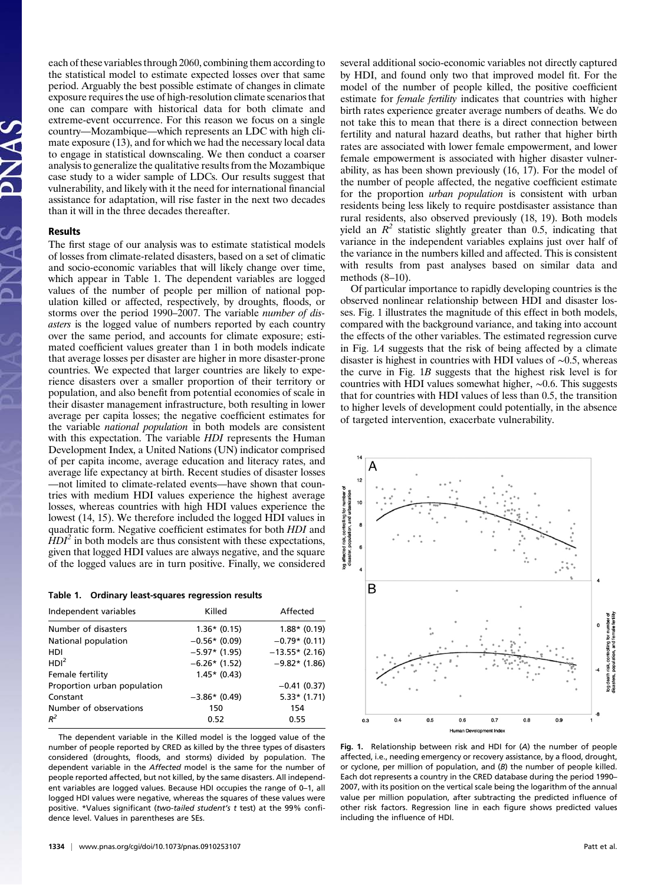each of these variables through 2060, combining them according to the statistical model to estimate expected losses over that same period. Arguably the best possible estimate of changes in climate exposure requires the use of high-resolution climate scenarios that one can compare with historical data for both climate and extreme-event occurrence. For this reason we focus on a single country—Mozambique—which represents an LDC with high climate exposure (13), and for which we had the necessary local data to engage in statistical downscaling. We then conduct a coarser analysis to generalize the qualitative results from the Mozambique case study to a wider sample of LDCs. Our results suggest that vulnerability, and likely with it the need for international financial assistance for adaptation, will rise faster in the next two decades than it will in the three decades thereafter.

### Results

The first stage of our analysis was to estimate statistical models of losses from climate-related disasters, based on a set of climatic and socio-economic variables that will likely change over time, which appear in Table 1. The dependent variables are logged values of the number of people per million of national population killed or affected, respectively, by droughts, floods, or storms over the period 1990–2007. The variable number of disasters is the logged value of numbers reported by each country over the same period, and accounts for climate exposure; estimated coefficient values greater than 1 in both models indicate that average losses per disaster are higher in more disaster-prone countries. We expected that larger countries are likely to experience disasters over a smaller proportion of their territory or population, and also benefit from potential economies of scale in their disaster management infrastructure, both resulting in lower average per capita losses; the negative coefficient estimates for the variable national population in both models are consistent with this expectation. The variable *HDI* represents the Human Development Index, a United Nations (UN) indicator comprised of per capita income, average education and literacy rates, and average life expectancy at birth. Recent studies of disaster losses —not limited to climate-related events—have shown that countries with medium HDI values experience the highest average losses, whereas countries with high HDI values experience the lowest (14, 15). We therefore included the logged HDI values in quadratic form. Negative coefficient estimates for both HDI and  $HDI<sup>2</sup>$  in both models are thus consistent with these expectations, given that logged HDI values are always negative, and the square of the logged values are in turn positive. Finally, we considered

|  | Table 1. Ordinary least-squares regression results |  |
|--|----------------------------------------------------|--|
|  |                                                    |  |

| Independent variables       | Killed          | Affected         |
|-----------------------------|-----------------|------------------|
| Number of disasters         | $1.36*(0.15)$   | $1.88*$ (0.19)   |
| National population         | $-0.56*(0.09)$  | $-0.79*$ (0.11)  |
| HDI                         | $-5.97*$ (1.95) | $-13.55*$ (2.16) |
| HDI <sup>2</sup>            | $-6.26*(1.52)$  | $-9.82*$ (1.86)  |
| Female fertility            | $1.45*$ (0.43)  |                  |
| Proportion urban population |                 | $-0.41(0.37)$    |
| Constant                    | $-3.86*$ (0.49) | $5.33*(1.71)$    |
| Number of observations      | 150             | 154              |
| $R^2$                       | 0.52            | 0.55             |

The dependent variable in the Killed model is the logged value of the number of people reported by CRED as killed by the three types of disasters considered (droughts, floods, and storms) divided by population. The dependent variable in the Affected model is the same for the number of people reported affected, but not killed, by the same disasters. All independent variables are logged values. Because HDI occupies the range of 0–1, all logged HDI values were negative, whereas the squares of these values were positive. \*Values significant (two-tailed student's t test) at the 99% confidence level. Values in parentheses are SEs.

by HDI, and found only two that improved model fit. For the model of the number of people killed, the positive coefficient estimate for *female fertility* indicates that countries with higher birth rates experience greater average numbers of deaths. We do not take this to mean that there is a direct connection between fertility and natural hazard deaths, but rather that higher birth rates are associated with lower female empowerment, and lower female empowerment is associated with higher disaster vulnerability, as has been shown previously (16, 17). For the model of the number of people affected, the negative coefficient estimate for the proportion urban population is consistent with urban residents being less likely to require postdisaster assistance than rural residents, also observed previously (18, 19). Both models yield an  $R^2$  statistic slightly greater than 0.5, indicating that variance in the independent variables explains just over half of the variance in the numbers killed and affected. This is consistent with results from past analyses based on similar data and methods (8–10).

several additional socio-economic variables not directly captured

Of particular importance to rapidly developing countries is the observed nonlinear relationship between HDI and disaster losses. Fig. 1 illustrates the magnitude of this effect in both models, compared with the background variance, and taking into account the effects of the other variables. The estimated regression curve in Fig. 1A suggests that the risk of being affected by a climate disaster is highest in countries with HDI values of ∼0.5, whereas the curve in Fig. 1B suggests that the highest risk level is for countries with HDI values somewhat higher, ∼0.6. This suggests that for countries with HDI values of less than 0.5, the transition to higher levels of development could potentially, in the absence of targeted intervention, exacerbate vulnerability.



Fig. 1. Relationship between risk and HDI for (A) the number of people affected, i.e., needing emergency or recovery assistance, by a flood, drought, or cyclone, per million of population, and (B) the number of people killed. Each dot represents a country in the CRED database during the period 1990– 2007, with its position on the vertical scale being the logarithm of the annual value per million population, after subtracting the predicted influence of other risk factors. Regression line in each figure shows predicted values including the influence of HDI.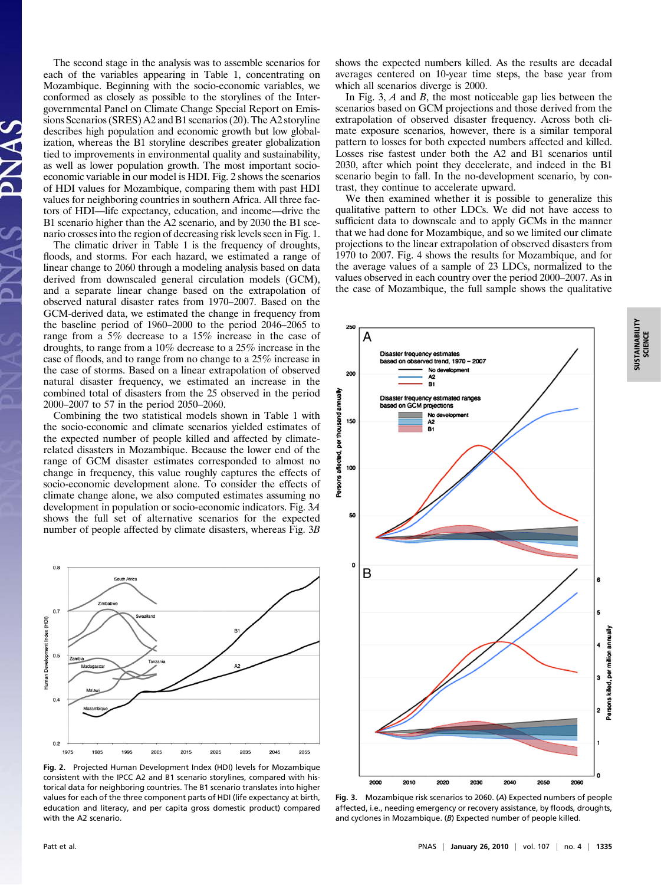The second stage in the analysis was to assemble scenarios for each of the variables appearing in Table 1, concentrating on Mozambique. Beginning with the socio-economic variables, we conformed as closely as possible to the storylines of the Intergovernmental Panel on Climate Change Special Report on Emissions Scenarios (SRES) A2 and B1 scenarios (20). The A2 storyline describes high population and economic growth but low globalization, whereas the B1 storyline describes greater globalization tied to improvements in environmental quality and sustainability, as well as lower population growth. The most important socioeconomic variable in our model is HDI. Fig. 2 shows the scenarios of HDI values for Mozambique, comparing them with past HDI values for neighboring countries in southern Africa. All three factors of HDI—life expectancy, education, and income—drive the B1 scenario higher than the A2 scenario, and by 2030 the B1 scenario crosses into the region of decreasing risk levels seen in Fig. 1.

The climatic driver in Table 1 is the frequency of droughts, floods, and storms. For each hazard, we estimated a range of linear change to 2060 through a modeling analysis based on data derived from downscaled general circulation models (GCM), and a separate linear change based on the extrapolation of observed natural disaster rates from 1970–2007. Based on the GCM-derived data, we estimated the change in frequency from the baseline period of 1960–2000 to the period 2046–2065 to range from a 5% decrease to a 15% increase in the case of droughts, to range from a 10% decrease to a 25% increase in the case of floods, and to range from no change to a 25% increase in the case of storms. Based on a linear extrapolation of observed natural disaster frequency, we estimated an increase in the combined total of disasters from the 25 observed in the period 2000–2007 to 57 in the period 2050–2060.

Combining the two statistical models shown in Table 1 with the socio-economic and climate scenarios yielded estimates of the expected number of people killed and affected by climaterelated disasters in Mozambique. Because the lower end of the range of GCM disaster estimates corresponded to almost no change in frequency, this value roughly captures the effects of socio-economic development alone. To consider the effects of climate change alone, we also computed estimates assuming no development in population or socio-economic indicators. Fig. 3A shows the full set of alternative scenarios for the expected number of people affected by climate disasters, whereas Fig. 3B



Fig. 2. Projected Human Development Index (HDI) levels for Mozambique consistent with the IPCC A2 and B1 scenario storylines, compared with historical data for neighboring countries. The B1 scenario translates into higher values for each of the three component parts of HDI (life expectancy at birth, education and literacy, and per capita gross domestic product) compared with the A2 scenario.

shows the expected numbers killed. As the results are decadal averages centered on 10-year time steps, the base year from which all scenarios diverge is 2000.

In Fig. 3,  $A$  and  $B$ , the most noticeable gap lies between the scenarios based on GCM projections and those derived from the extrapolation of observed disaster frequency. Across both climate exposure scenarios, however, there is a similar temporal pattern to losses for both expected numbers affected and killed. Losses rise fastest under both the A2 and B1 scenarios until 2030, after which point they decelerate, and indeed in the B1 scenario begin to fall. In the no-development scenario, by contrast, they continue to accelerate upward.

We then examined whether it is possible to generalize this qualitative pattern to other LDCs. We did not have access to sufficient data to downscale and to apply GCMs in the manner that we had done for Mozambique, and so we limited our climate projections to the linear extrapolation of observed disasters from 1970 to 2007. Fig. 4 shows the results for Mozambique, and for the average values of a sample of 23 LDCs, normalized to the values observed in each country over the period 2000–2007. As in the case of Mozambique, the full sample shows the qualitative



Fig. 3. Mozambique risk scenarios to 2060. (A) Expected numbers of people affected, i.e., needing emergency or recovery assistance, by floods, droughts, and cyclones in Mozambique. (B) Expected number of people killed.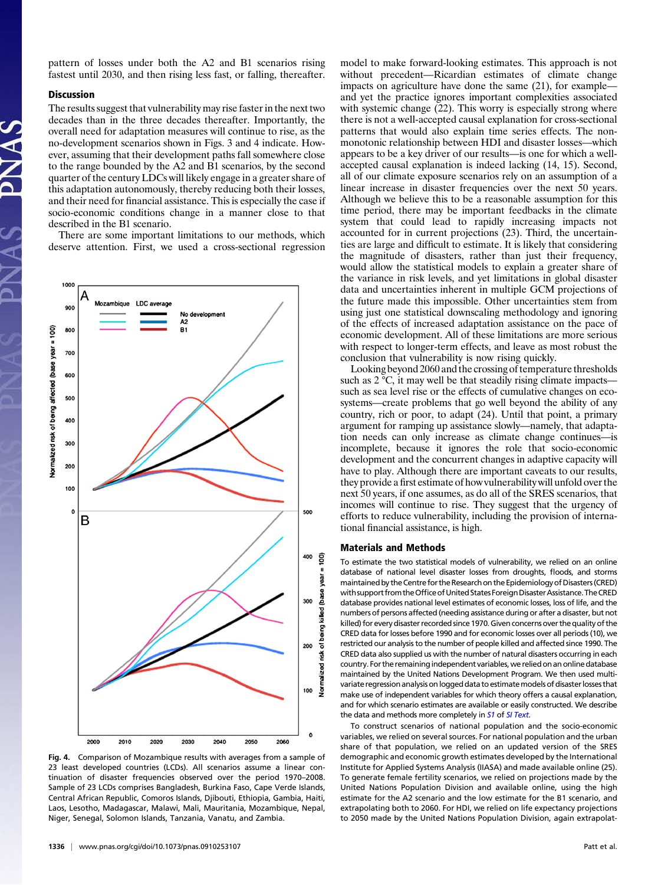pattern of losses under both the A2 and B1 scenarios rising fastest until 2030, and then rising less fast, or falling, thereafter.

#### **Discussion**

The results suggest that vulnerability may rise faster in the next two decades than in the three decades thereafter. Importantly, the overall need for adaptation measures will continue to rise, as the no-development scenarios shown in Figs. 3 and 4 indicate. However, assuming that their development paths fall somewhere close to the range bounded by the A2 and B1 scenarios, by the second quarter of the century LDCs will likely engage in a greater share of this adaptation autonomously, thereby reducing both their losses, and their need for financial assistance. This is especially the case if socio-economic conditions change in a manner close to that described in the B1 scenario.

There are some important limitations to our methods, which deserve attention. First, we used a cross-sectional regression



Fig. 4. Comparison of Mozambique results with averages from a sample of 23 least developed countries (LCDs). All scenarios assume a linear continuation of disaster frequencies observed over the period 1970–2008. Sample of 23 LCDs comprises Bangladesh, Burkina Faso, Cape Verde Islands, Central African Republic, Comoros Islands, Djibouti, Ethiopia, Gambia, Haiti, Laos, Lesotho, Madagascar, Malawi, Mali, Mauritania, Mozambique, Nepal, Niger, Senegal, Solomon Islands, Tanzania, Vanatu, and Zambia.

model to make forward-looking estimates. This approach is not without precedent—Ricardian estimates of climate change impacts on agriculture have done the same (21), for example and yet the practice ignores important complexities associated with systemic change (22). This worry is especially strong where there is not a well-accepted causal explanation for cross-sectional patterns that would also explain time series effects. The nonmonotonic relationship between HDI and disaster losses—which appears to be a key driver of our results—is one for which a wellaccepted causal explanation is indeed lacking (14, 15). Second, all of our climate exposure scenarios rely on an assumption of a linear increase in disaster frequencies over the next 50 years. Although we believe this to be a reasonable assumption for this time period, there may be important feedbacks in the climate system that could lead to rapidly increasing impacts not accounted for in current projections (23). Third, the uncertainties are large and difficult to estimate. It is likely that considering the magnitude of disasters, rather than just their frequency, would allow the statistical models to explain a greater share of the variance in risk levels, and yet limitations in global disaster data and uncertainties inherent in multiple GCM projections of the future made this impossible. Other uncertainties stem from using just one statistical downscaling methodology and ignoring of the effects of increased adaptation assistance on the pace of economic development. All of these limitations are more serious with respect to longer-term effects, and leave as most robust the conclusion that vulnerability is now rising quickly.

Looking beyond 2060 and the crossing of temperature thresholds such as 2 °C, it may well be that steadily rising climate impacts such as sea level rise or the effects of cumulative changes on ecosystems—create problems that go well beyond the ability of any country, rich or poor, to adapt (24). Until that point, a primary argument for ramping up assistance slowly—namely, that adaptation needs can only increase as climate change continues—is incomplete, because it ignores the role that socio-economic development and the concurrent changes in adaptive capacity will have to play. Although there are important caveats to our results, they provide a first estimate of how vulnerability will unfold over the next 50 years, if one assumes, as do all of the SRES scenarios, that incomes will continue to rise. They suggest that the urgency of efforts to reduce vulnerability, including the provision of international financial assistance, is high.

#### Materials and Methods

To estimate the two statistical models of vulnerability, we relied on an online database of national level disaster losses from droughts, floods, and storms maintained by the Centre for the Researchon the Epidemiologyof Disasters (CRED) with support from the Office of United States Foreign Disaster Assistance. The CRED database provides national level estimates of economic losses, loss of life, and the numbers of persons affected (needing assistance during or after a disaster, but not killed) for every disaster recorded since 1970. Given concerns over the quality of the CRED data for losses before 1990 and for economic losses over all periods (10), we restricted our analysis to the number of people killed and affected since 1990. The CRED data also supplied us with the number of natural disasters occurring in each country. For the remaining independent variables, we relied on an online database maintained by the United Nations Development Program. We then used multivariate regression analysis on logged data to estimate models of disaster losses that make use of independent variables for which theory offers a causal explanation, and for which scenario estimates are available or easily constructed. We describe the data and methods more completely in [S1](http://www.pnas.org/cgi/data/0910253107/DCSupplemental/Supplemental_PDF#nameddest=STXT) of [SI Text](http://www.pnas.org/cgi/data/0910253107/DCSupplemental/Supplemental_PDF#nameddest=STXT).

To construct scenarios of national population and the socio-economic variables, we relied on several sources. For national population and the urban share of that population, we relied on an updated version of the SRES demographic and economic growth estimates developed by the International Institute for Applied Systems Analysis (IIASA) and made available online (25). To generate female fertility scenarios, we relied on projections made by the United Nations Population Division and available online, using the high estimate for the A2 scenario and the low estimate for the B1 scenario, and extrapolating both to 2060. For HDI, we relied on life expectancy projections to 2050 made by the United Nations Population Division, again extrapolat